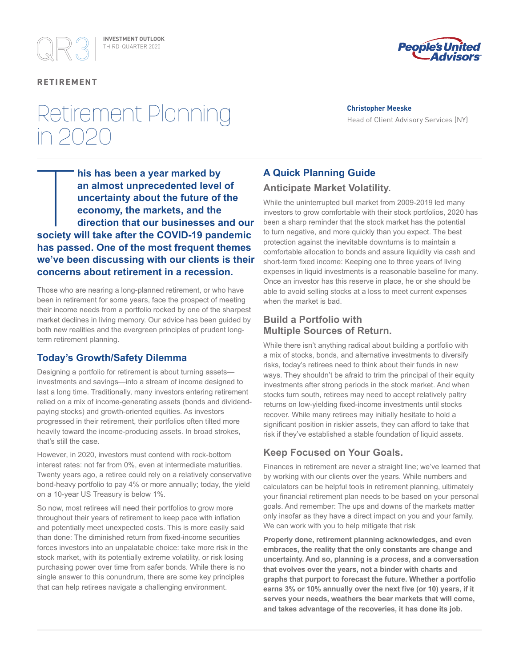

#### **RETIREMENT**

## Retirement Planning in 2020

#### **Christopher Meeske**

Head of Client Advisory Services (NY)

**his has been a year marked by an almost unprecedented level of uncertainty about the future of the economy, the markets, and the direction that our businesses and our society will take after the COVID-19 pandemic has passed. One of the most frequent themes we've been discussing with our clients is their concerns about retirement in a recession.**

Those who are nearing a long-planned retirement, or who have been in retirement for some years, face the prospect of meeting their income needs from a portfolio rocked by one of the sharpest market declines in living memory. Our advice has been guided by both new realities and the evergreen principles of prudent longterm retirement planning.

## **Today's Growth/Safety Dilemma**

Designing a portfolio for retirement is about turning assets investments and savings—into a stream of income designed to last a long time. Traditionally, many investors entering retirement relied on a mix of income-generating assets (bonds and dividendpaying stocks) and growth-oriented equities. As investors progressed in their retirement, their portfolios often tilted more heavily toward the income-producing assets. In broad strokes, that's still the case.

However, in 2020, investors must contend with rock-bottom interest rates: not far from 0%, even at intermediate maturities. Twenty years ago, a retiree could rely on a relatively conservative bond-heavy portfolio to pay 4% or more annually; today, the yield on a 10-year US Treasury is below 1%.

So now, most retirees will need their portfolios to grow more throughout their years of retirement to keep pace with inflation and potentially meet unexpected costs. This is more easily said than done: The diminished return from fixed-income securities forces investors into an unpalatable choice: take more risk in the stock market, with its potentially extreme volatility, or risk losing purchasing power over time from safer bonds. While there is no single answer to this conundrum, there are some key principles that can help retirees navigate a challenging environment.

## **A Quick Planning Guide**

## **Anticipate Market Volatility.**

While the uninterrupted bull market from 2009-2019 led many investors to grow comfortable with their stock portfolios, 2020 has been a sharp reminder that the stock market has the potential to turn negative, and more quickly than you expect. The best protection against the inevitable downturns is to maintain a comfortable allocation to bonds and assure liquidity via cash and short-term fixed income: Keeping one to three years of living expenses in liquid investments is a reasonable baseline for many. Once an investor has this reserve in place, he or she should be able to avoid selling stocks at a loss to meet current expenses when the market is bad.

## **Build a Portfolio with Multiple Sources of Return.**

While there isn't anything radical about building a portfolio with a mix of stocks, bonds, and alternative investments to diversify risks, today's retirees need to think about their funds in new ways. They shouldn't be afraid to trim the principal of their equity investments after strong periods in the stock market. And when stocks turn south, retirees may need to accept relatively paltry returns on low-yielding fixed-income investments until stocks recover. While many retirees may initially hesitate to hold a significant position in riskier assets, they can afford to take that risk if they've established a stable foundation of liquid assets.

## **Keep Focused on Your Goals.**

Finances in retirement are never a straight line; we've learned that by working with our clients over the years. While numbers and calculators can be helpful tools in retirement planning, ultimately your financial retirement plan needs to be based on your personal goals. And remember: The ups and downs of the markets matter only insofar as they have a direct impact on you and your family. We can work with you to help mitigate that risk

**Properly done, retirement planning acknowledges, and even embraces, the reality that the only constants are change and uncertainty. And so, planning is a** *process***, and a conversation that evolves over the years, not a binder with charts and graphs that purport to forecast the future. Whether a portfolio earns 3% or 10% annually over the next five (or 10) years, if it serves your needs, weathers the bear markets that will come, and takes advantage of the recoveries, it has done its job.**